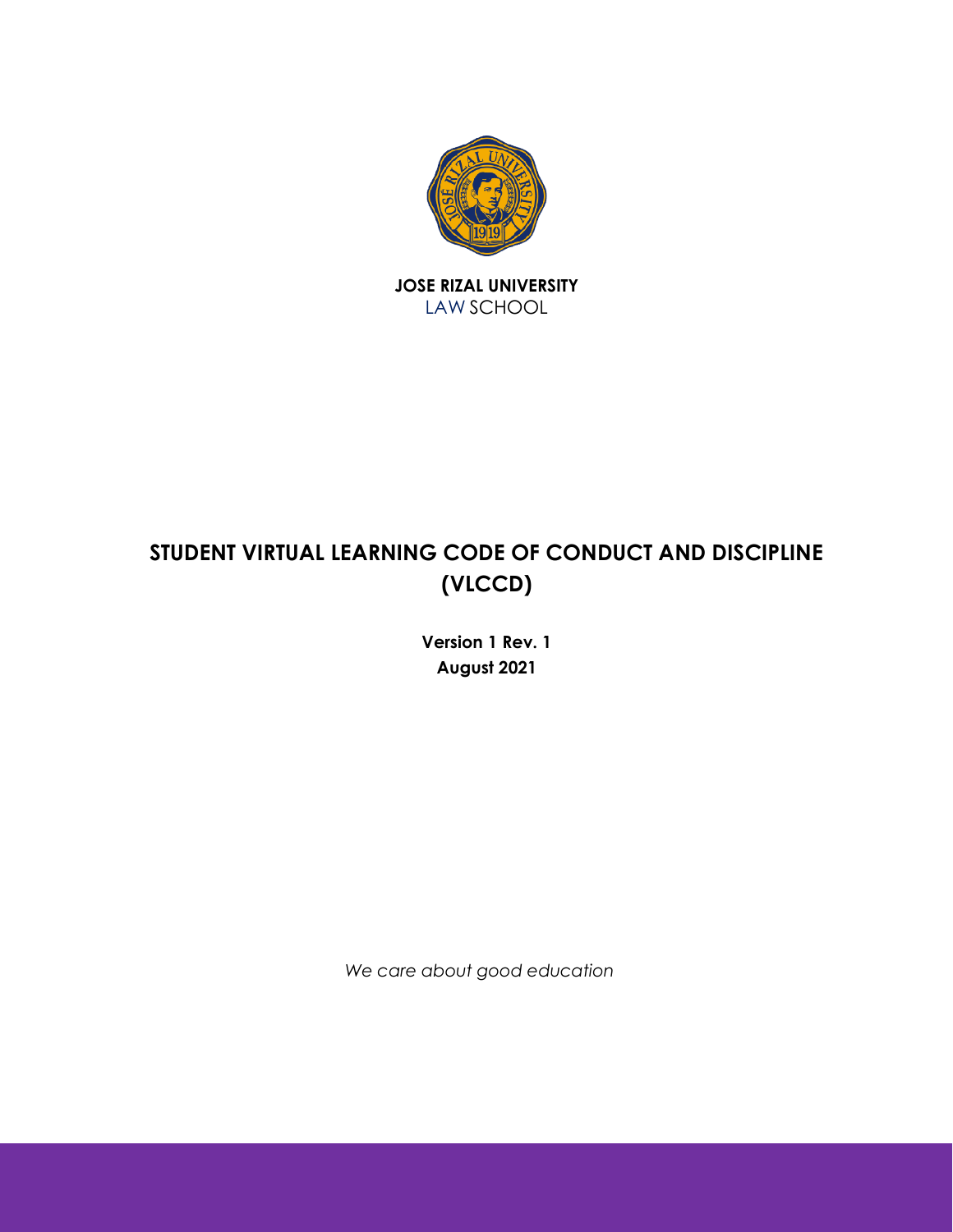

JOSE RIZAL UNIVERSITY LAW SCHOOL

# STUDENT VIRTUAL LEARNING CODE OF CONDUCT AND DISCIPLINE (VLCCD)

Version 1 Rev. 1 August 2021

We care about good education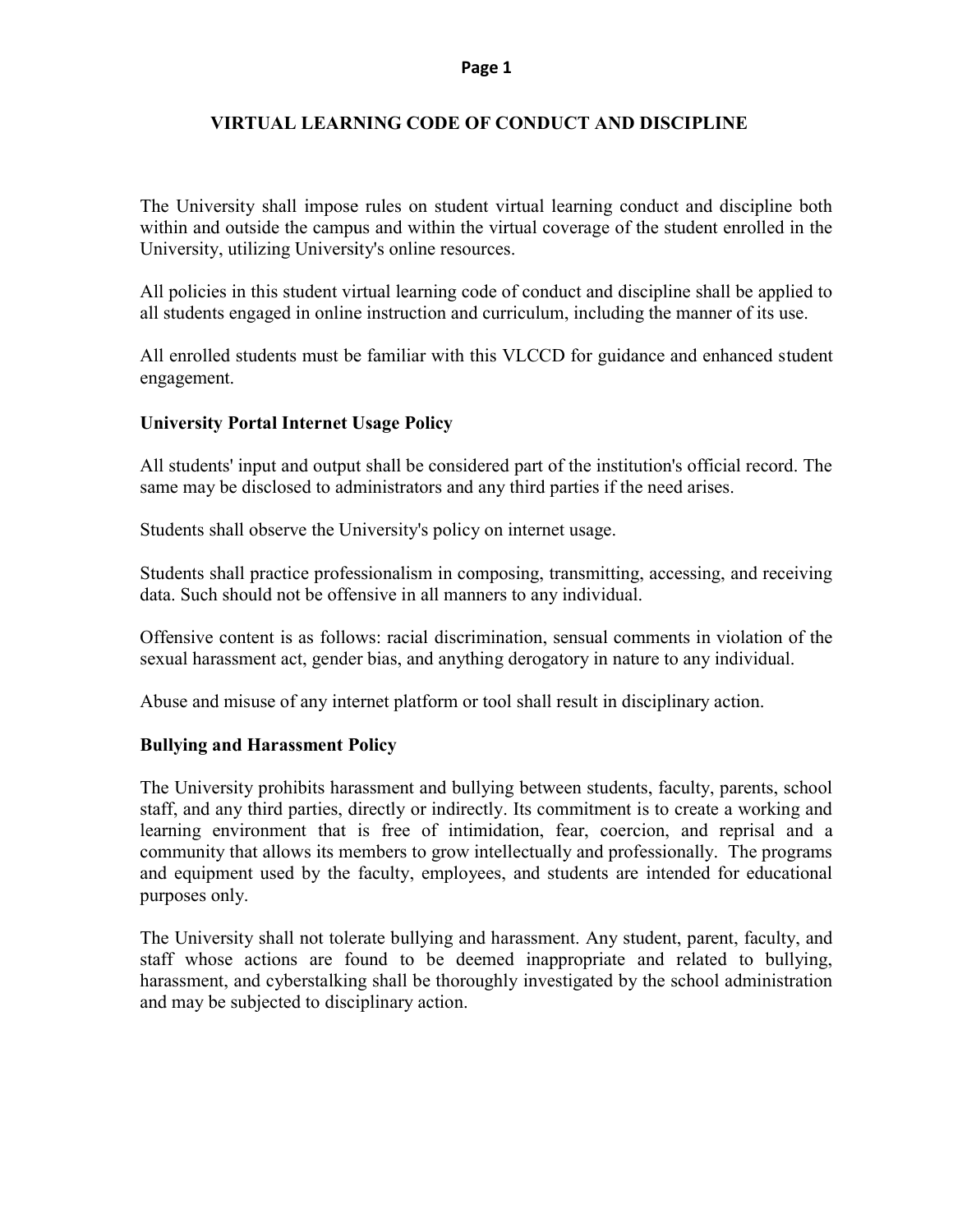#### Page 1

#### VIRTUAL LEARNING CODE OF CONDUCT AND DISCIPLINE VIRTUAL LEARNING

The University shall impose rules on student virtual learning conduct and discipline both within and outside the campus and within the virtual coverage of the student enrolled in the University, utilizing University's online resources. The University shall impose rules on student virtual learning conduct and discipline both within and outside the campus and within the virtual coverage of the student enrolled in the University, utilizing University's onli

All policies in this student virtual learning code of conduct and discipline shall be applied to all students engaged in online instruction and curriculum, including the manner of its use.

All enrolled students must be familiar with this VLCCD for guidance and enhanced s engagement.

#### University Portal Internet Usage Policy

All students' input and output shall be considered part of the institution's official record. The same may be disclosed to administrators and any third parties if the need arises.

Students shall observe the University's policy on internet usage.

Students shall practice professionalism in composing, transmitting, accessing, and receiving data. Such should not be offensive in all manners to any individual. All students' input and output shall be considered part of the institution's official record.<br>
same may be disclosed to administrators and any third parties if the need arises.<br>
Students shall observe the University's poli

Offensive content is as follows: racial discrimination, sensual comments in violation of the sexual harassment act, gender bias, and anything derogatory in nature to any individual.

Abuse and misuse of any internet platform or tool shall result in disciplinary action.

#### Bullying and Harassment Policy

The University prohibits harassment and bullying between students, faculty, parents, school staff, and any third parties, directly or indirectly. Its commitment is to create a working and learning environment that is free of intimidation, fear, coercion, and reprisal and a community that allows its members to grow intellectually and professionally. The programs and equipment used by the faculty, employees, and students are intended for educational purposes only. harassment act, gender bias, and anything derogatory in nature to any individual.<br>
and misuse of any internet platform or tool shall result in disciplinary action.<br> **ng and Harassment Policy**<br>
inversity prohibits harassmen that allows its members to grow intellectually and professionally. The programs<br>ent used by the faculty, employees, and students are intended for educational<br>ly.<br>sity shall not tolerate bullying and harassment. Any student If with this VLCCD for guidance and enhanced student<br>
ollicy<br>
e considered part of the institution's official record. The<br>
ors and any third parties if the need arises.<br>
's policy on internet usage.<br>
m in composing, transm comments in violation of the<br>nature to any individual.<br>a disciplinary action.<br>dents, faculty, parents, school<br>ent is to create a working and<br>oercion, and reprisal and a

The University shall not tolerate bullying and harassment. staff whose actions are found to be deemed inappropriate and related to bullying, harassment, and cyberstalking shall be thoroughly investigated by the school administration and may be subjected to disciplinary action.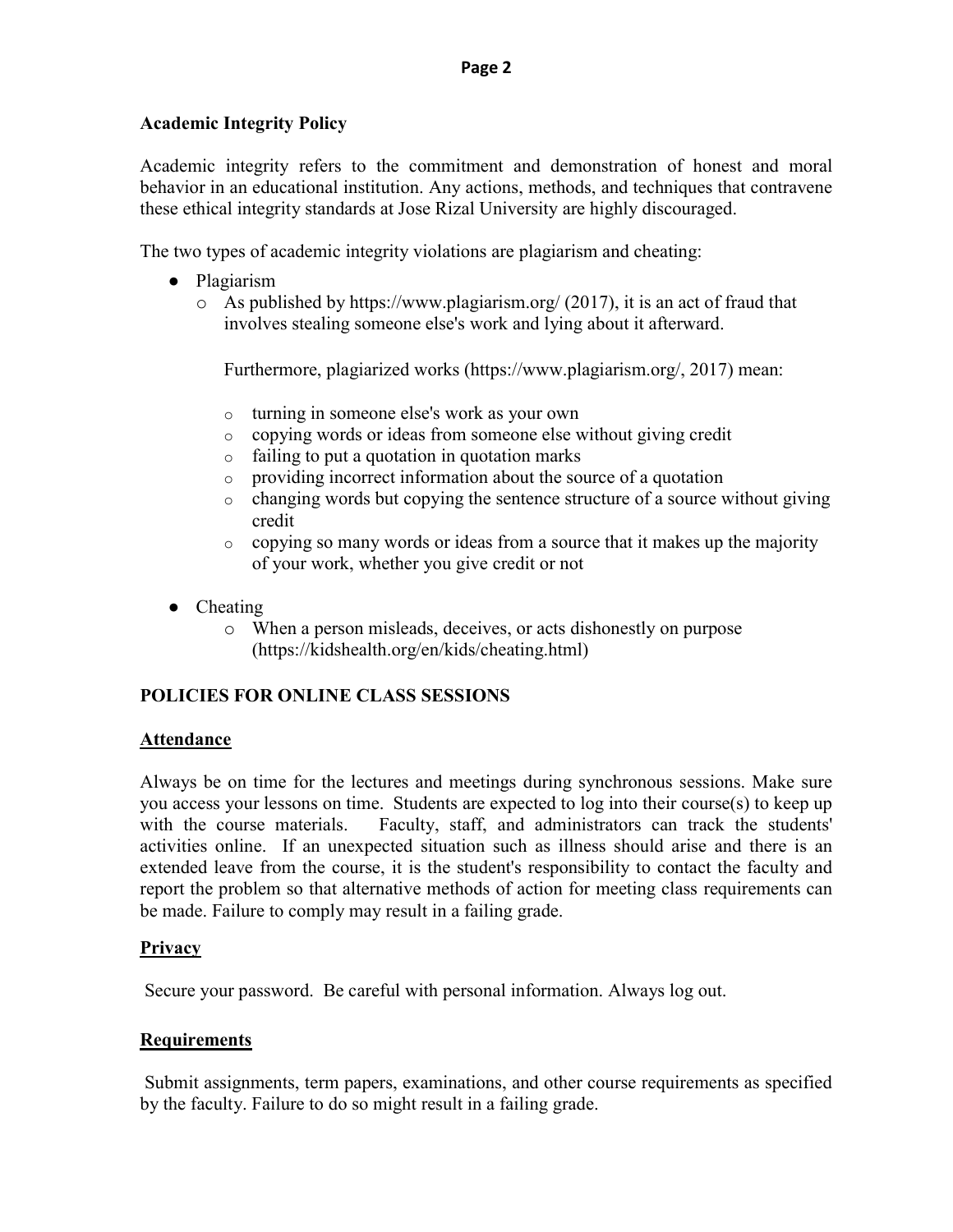## Academic Integrity Policy

Academic integrity refers to the commitment and demonstration of honest and moral behavior in an educational institution. Any actions, methods, and techniques that contravene these ethical integrity standards at Jose Rizal University are highly discouraged.

The two types of academic integrity violations are plagiarism and cheating:

- Plagiarism
	- $\circ$  As published by https://www.plagiarism.org/ (2017), it is an act of fraud that involves stealing someone else's work and lying about it afterward.

Furthermore, plagiarized works (https://www.plagiarism.org/, 2017) mean:

- o turning in someone else's work as your own
- o copying words or ideas from someone else without giving credit
- o failing to put a quotation in quotation marks
- o providing incorrect information about the source of a quotation
- $\circ$  changing words but copying the sentence structure of a source without giving credit
- o copying so many words or ideas from a source that it makes up the majority of your work, whether you give credit or not
- Cheating
	- o When a person misleads, deceives, or acts dishonestly on purpose (https://kidshealth.org/en/kids/cheating.html)

# POLICIES FOR ONLINE CLASS SESSIONS

## Attendance

Always be on time for the lectures and meetings during synchronous sessions. Make sure you access your lessons on time. Students are expected to log into their course(s) to keep up with the course materials. Faculty, staff, and administrators can track the students' activities online. If an unexpected situation such as illness should arise and there is an extended leave from the course, it is the student's responsibility to contact the faculty and report the problem so that alternative methods of action for meeting class requirements can be made. Failure to comply may result in a failing grade.

## **Privacy**

Secure your password. Be careful with personal information. Always log out.

## **Requirements**

 Submit assignments, term papers, examinations, and other course requirements as specified by the faculty. Failure to do so might result in a failing grade.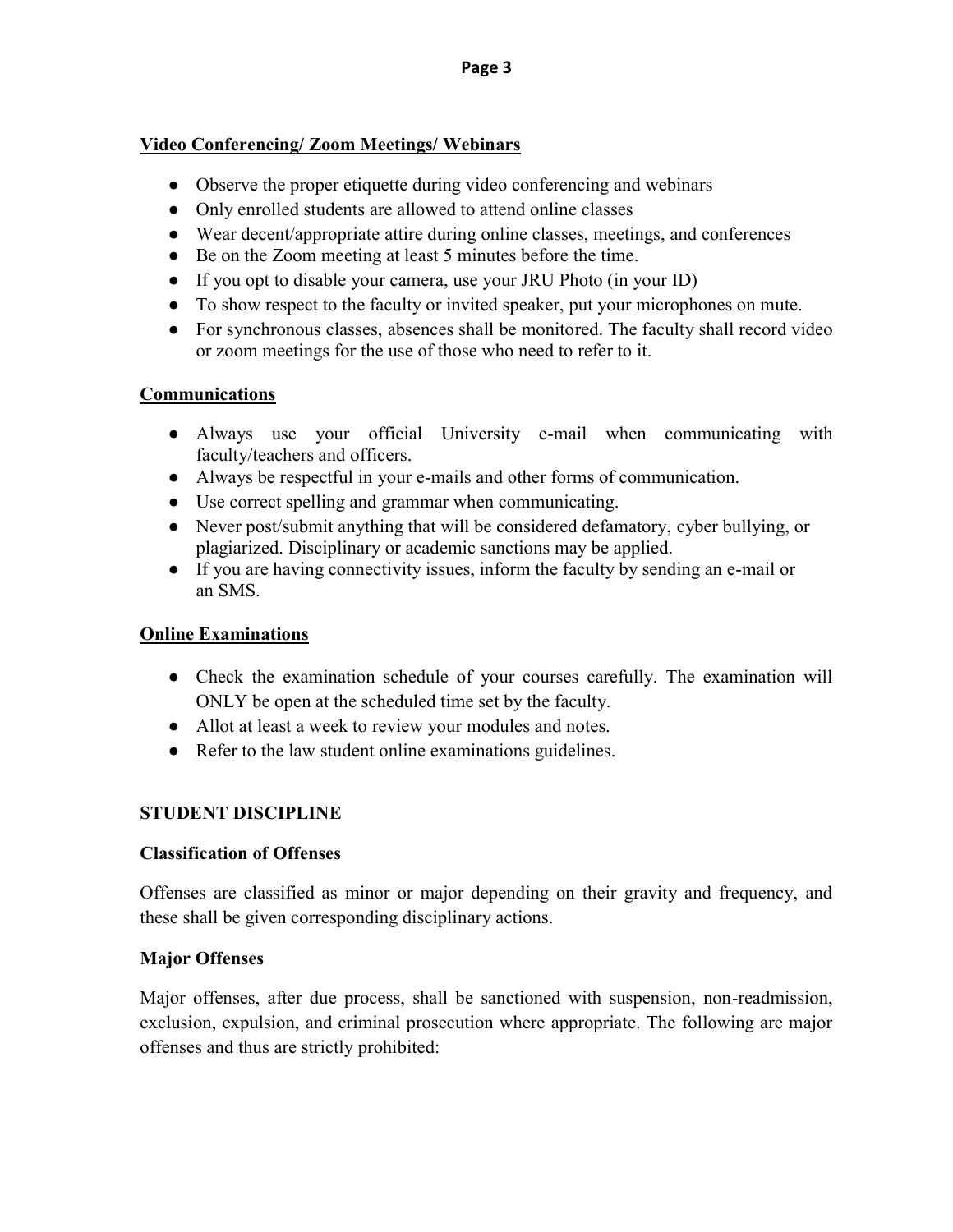#### Video Conferencing/ Zoom Meetings/ Webinars Conferencing/ Meetings/ Webinars

- Observe the proper etiquette during video conferencing and webinars
- Only enrolled students are allowed to attend online classes
- Wear decent/appropriate attire during online classes, meetings, and conferences
- Be on the Zoom meeting at least 5 minutes before the time.
- If you opt to disable your camera, use your JRU Photo (in your ID)
- To show respect to the faculty or invited speaker, put your microphones on mute. ent/appropriate attire during online classes, meetings, and conferences<br>
i Zoom meeting at least 5 minutes before the time.<br>
it to disable your camera, use your JRU Photo (in your ID)<br>
respect to the faculty or invited spe
- For synchronous classes, absences shall be monitored. The faculty shall record video or zoom meetings for the use of those who need to refer to it.

## Communications

- or zoom meetings for the use of those who need to refer to it.<br> **numunications**<br>
 Always use your official University e-mail when communicating with faculty/teachers and officers. • Always use your official University e-mail when communic faculty/teachers and officers.<br>• Always be respectful in your e-mails and other forms of communication.
- 
- Use correct spelling and grammar when communicating.
- Never post/submit anything that will be considered defamatory, cyber bullying, or plagiarized. Disciplinary or academic sanctions may be applied. Disciplinary or academic applied.
- If you are having connectivity issues, inform the faculty by sending an e-mail or an SMS.

## Online Examinations

- Check the examination schedule of your courses carefully. The examination will ONLY be open at the scheduled time set by the faculty. ONLY be open at the scheduled time set by the faculty. is classes, absences shall be monitored. The faculty shall record video<br>gs for the use of those who need to refer to it.<br>
your official University c-mail when communicating with<br>
sus and officers.<br>
your official University
- Allot at least a week to review your modules and notes.
- Refer to the law student online examinations guidelines.

## STUDENT DISCIPLINE

## Classification of Offenses

Offenses are classified as minor or major depending on their gravity and frequency, and these shall be given corresponding disciplin dent online examinations guidelines.<br>minor or major depending on their<br>onding disciplinary actions.

## Major Offenses

Major offenses, after due process, shall be sanctioned with suspension, non-readmission, exclusion, expulsion, and criminal prosecution where appropriate. The following are major offenses and thus are strictly prohibited: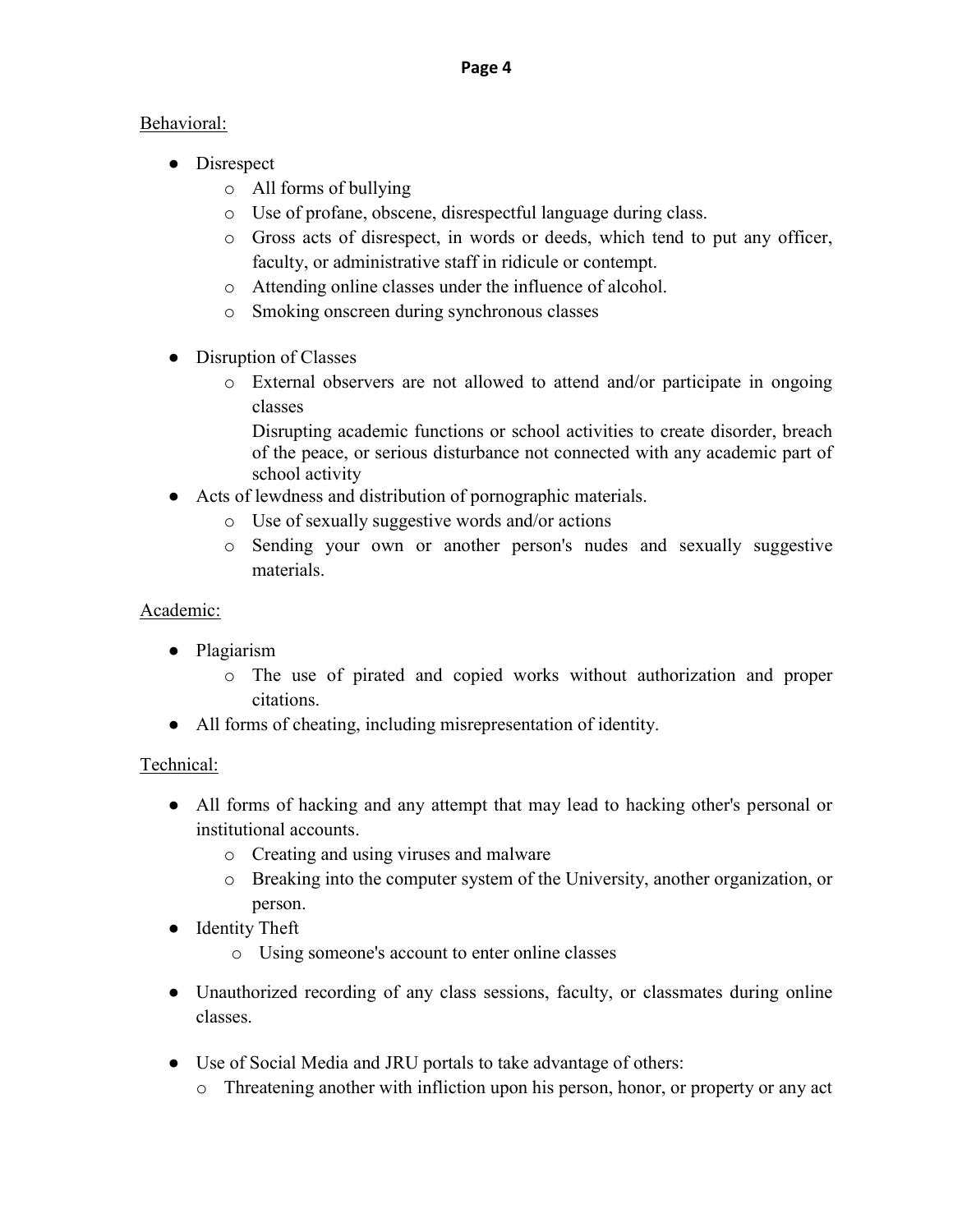## Behavioral:

- Disrespect
	- o All forms of bullying
	- o Use of profane, obscene, disrespectful language during class.
	- o Gross acts of disrespect, in words or deeds, which tend to put any officer, faculty, or administrative staff in ridicule or contempt.
	- o Attending online classes under the influence of alcohol.
	- o Smoking onscreen during synchronous classes
- Disruption of Classes
	- o External observers are not allowed to attend and/or participate in ongoing classes

Disrupting academic functions or school activities to create disorder, breach of the peace, or serious disturbance not connected with any academic part of school activity

- Acts of lewdness and distribution of pornographic materials.
	- o Use of sexually suggestive words and/or actions
	- o Sending your own or another person's nudes and sexually suggestive materials.

# Academic:

- Plagiarism
	- o The use of pirated and copied works without authorization and proper citations.
- All forms of cheating, including misrepresentation of identity.

# Technical:

- All forms of hacking and any attempt that may lead to hacking other's personal or institutional accounts.
	- o Creating and using viruses and malware
	- o Breaking into the computer system of the University, another organization, or person.
- Identity Theft
	- o Using someone's account to enter online classes
- Unauthorized recording of any class sessions, faculty, or classmates during online classes.
- Use of Social Media and JRU portals to take advantage of others:
	- o Threatening another with infliction upon his person, honor, or property or any act